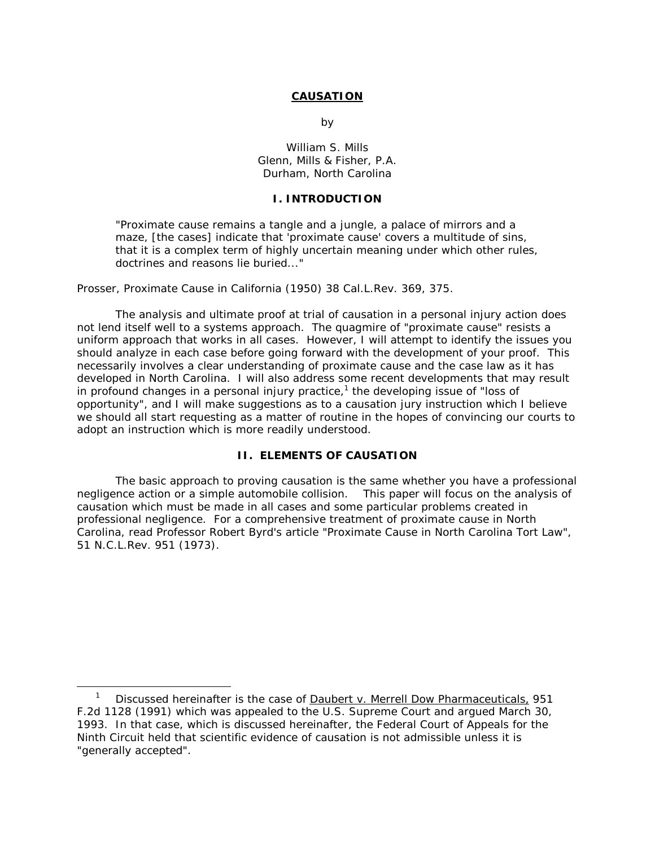#### **CAUSATION**

by the state of the state of the state of the state of the state of the state of the state of the state of the

 William S. Mills Glenn, Mills & Fisher, P.A. Durham, North Carolina

#### **I. INTRODUCTION**

"Proximate cause remains a tangle and a jungle, a palace of mirrors and a maze, [the cases] indicate that 'proximate cause' covers a multitude of sins, that it is a complex term of highly uncertain meaning under which other rules, doctrines and reasons lie buried..."

Prosser, *Proximate Cause in California* (1950) 38 Cal.L.Rev. 369, 375.

The analysis and ultimate proof at trial of causation in a personal injury action does not lend itself well to a systems approach. The quagmire of "proximate cause" resists a uniform approach that works in all cases. However, I will attempt to identify the issues you should analyze in each case before going forward with the development of your proof. This necessarily involves a clear understanding of proximate cause and the case law as it has developed in North Carolina. I will also address some recent developments that may result in profound changes in a personal injury practice,<sup>1</sup> the developing issue of "loss of opportunity", and I will make suggestions as to a causation jury instruction which I believe we should all start requesting as a matter of routine in the hopes of convincing our courts to adopt an instruction which is more readily understood.

# **II. ELEMENTS OF CAUSATION**

The basic approach to proving causation is the same whether you have a professional negligence action or a simple automobile collision. This paper will focus on the analysis of causation which must be made in all cases and some particular problems created in professional negligence. For a comprehensive treatment of proximate cause in North Carolina, read Professor Robert Byrd's article "Proximate Cause in North Carolina Tort Law", 51 N.C.L.Rev. 951 (1973).

 $\overline{\phantom{a}}$  Discussed hereinafter is the case of Daubert v. Merrell Dow Pharmaceuticals, 951 F.2d 1128 (1991) which was appealed to the U.S. Supreme Court and argued March 30, 1993. In that case, which is discussed hereinafter, the Federal Court of Appeals for the Ninth Circuit held that scientific evidence of causation is not admissible unless it is "generally accepted".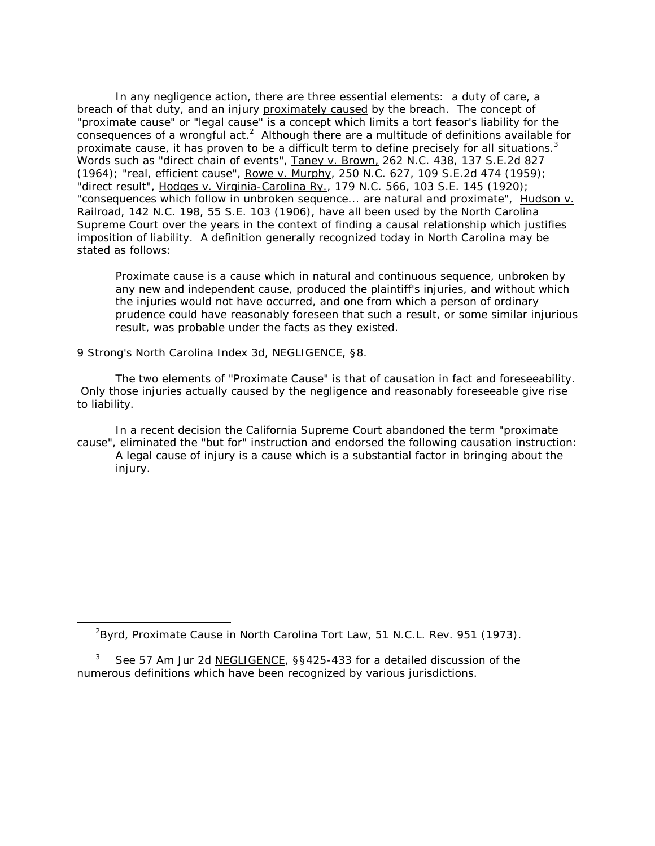In any negligence action, there are three essential elements: a duty of care, a breach of that duty, and an injury proximately caused by the breach. The concept of "proximate cause" or "legal cause" is a concept which limits a tort feasor's liability for the consequences of a wrongful act.<sup>2</sup> Although there are a multitude of definitions available for proximate cause, it has proven to be a difficult term to define precisely for all situations.<sup>3</sup> Words such as "direct chain of events", Taney v. Brown, 262 N.C. 438, 137 S.E.2d 827 (1964); "real, efficient cause", Rowe v. Murphy, 250 N.C. 627, 109 S.E.2d 474 (1959); "direct result", Hodges v. Virginia-Carolina Ry., 179 N.C. 566, 103 S.E. 145 (1920); "consequences which follow in unbroken sequence... are natural and proximate", Hudson v. Railroad, 142 N.C. 198, 55 S.E. 103 (1906), have all been used by the North Carolina Supreme Court over the years in the context of finding a causal relationship which justifies imposition of liability. A definition generally recognized today in North Carolina may be stated as follows:

Proximate cause is a cause which in natural and continuous sequence, unbroken by any new and independent cause, produced the plaintiff's injuries, and without which the injuries would not have occurred, and one from which a person of ordinary prudence could have reasonably foreseen that such a result, or some similar injurious result, was probable under the facts as they existed.

9 Strong's North Carolina Index 3d, NEGLIGENCE, §8.

The two elements of "Proximate Cause" is that of causation in fact and foreseeability. Only those injuries actually caused by the negligence and reasonably foreseeable give rise to liability.

In a recent decision the California Supreme Court abandoned the term "proximate cause", eliminated the "but for" instruction and endorsed the following causation instruction: A legal cause of injury is a cause which is a substantial factor in bringing about the injury.

<sup>&</sup>lt;sup>2</sup>Byrd, Proximate Cause in North Carolina Tort Law, 51 N.C.L. Rev. 951 (1973).

<sup>3</sup> See 57 Am Jur 2d NEGLIGENCE, §§425-433 for a detailed discussion of the numerous definitions which have been recognized by various jurisdictions.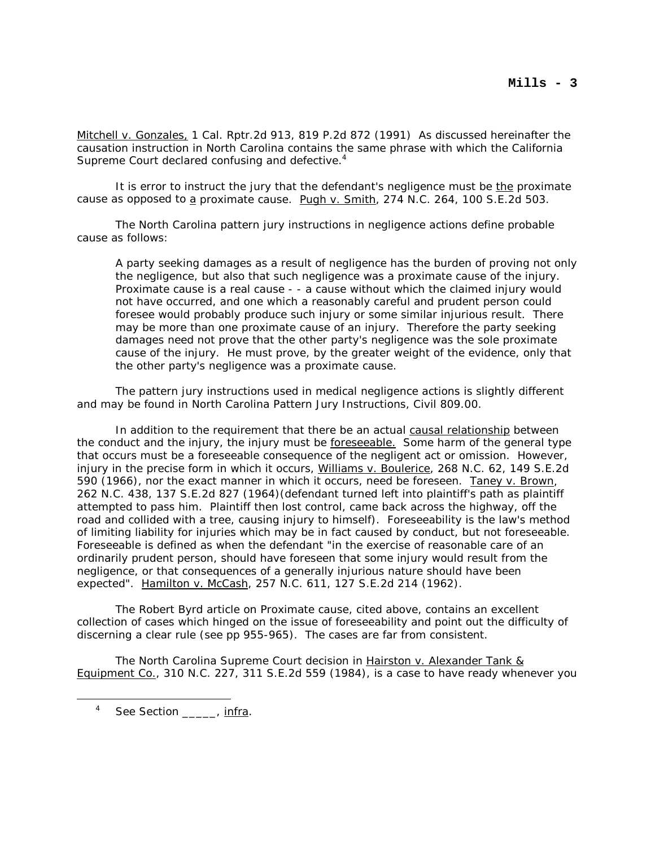Mitchell v. Gonzales, 1 Cal. Rptr.2d 913, 819 P.2d 872 (1991) As discussed hereinafter the causation instruction in North Carolina contains the same phrase with which the California Supreme Court declared confusing and defective.<sup>4</sup>

It is error to instruct the jury that the defendant's negligence must be the proximate cause as opposed to a proximate cause. Pugh v. Smith, 274 N.C. 264, 100 S.E.2d 503.

The North Carolina pattern jury instructions in negligence actions define probable cause as follows:

A party seeking damages as a result of negligence has the burden of proving not only the negligence, but also that such negligence was a proximate cause of the injury. Proximate cause is a real cause - - a cause without which the claimed injury would not have occurred, and one which a reasonably careful and prudent person could foresee would probably produce such injury or some similar injurious result. There may be more than one proximate cause of an injury. Therefore the party seeking damages need not prove that the other party's negligence was the sole proximate cause of the injury. He must prove, by the greater weight of the evidence, only that the other party's negligence was a proximate cause.

The pattern jury instructions used in medical negligence actions is slightly different and may be found in North Carolina Pattern Jury Instructions, Civil 809.00.

In addition to the requirement that there be an actual causal relationship between the conduct and the injury, the injury must be foreseeable. Some harm of the general type that occurs must be a foreseeable consequence of the negligent act or omission. However, injury in the precise form in which it occurs, Williams v. Boulerice, 268 N.C. 62, 149 S.E.2d 590 (1966), nor the exact manner in which it occurs, need be foreseen. Taney v. Brown, 262 N.C. 438, 137 S.E.2d 827 (1964)(defendant turned left into plaintiff's path as plaintiff attempted to pass him. Plaintiff then lost control, came back across the highway, off the road and collided with a tree, causing injury to himself). Foreseeability is the law's method of limiting liability for injuries which may be in fact caused by conduct, but not foreseeable. Foreseeable is defined as when the defendant "in the exercise of reasonable care of an ordinarily prudent person, should have foreseen that some injury would result from the negligence, or that consequences of a generally injurious nature should have been expected". Hamilton v. McCash, 257 N.C. 611, 127 S.E.2d 214 (1962).

The Robert Byrd article on Proximate cause, cited above, contains an excellent collection of cases which hinged on the issue of foreseeability and point out the difficulty of discerning a clear rule (see pp 955-965). The cases are far from consistent.

The North Carolina Supreme Court decision in Hairston v. Alexander Tank & Equipment Co., 310 N.C. 227, 311 S.E.2d 559 (1984), is a case to have ready whenever you

<sup>4</sup> See Section \_\_\_\_\_\_, infra.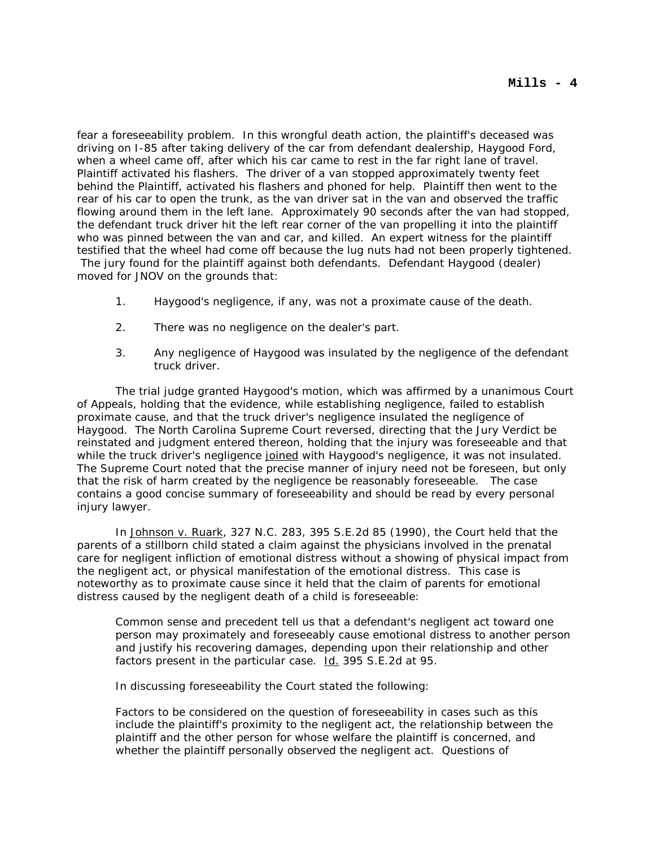fear a foreseeability problem. In this wrongful death action, the plaintiff's deceased was driving on I-85 after taking delivery of the car from defendant dealership, Haygood Ford, when a wheel came off, after which his car came to rest in the far right lane of travel. Plaintiff activated his flashers. The driver of a van stopped approximately twenty feet behind the Plaintiff, activated his flashers and phoned for help. Plaintiff then went to the rear of his car to open the trunk, as the van driver sat in the van and observed the traffic flowing around them in the left lane. Approximately 90 seconds after the van had stopped, the defendant truck driver hit the left rear corner of the van propelling it into the plaintiff who was pinned between the van and car, and killed. An expert witness for the plaintiff testified that the wheel had come off because the lug nuts had not been properly tightened. The jury found for the plaintiff against both defendants. Defendant Haygood (dealer) moved for JNOV on the grounds that:

- 1. Haygood's negligence, if any, was not a proximate cause of the death.
- 2. There was no negligence on the dealer's part.
- 3. Any negligence of Haygood was insulated by the negligence of the defendant truck driver.

The trial judge granted Haygood's motion, which was affirmed by a unanimous Court of Appeals, holding that the evidence, while establishing negligence, failed to establish proximate cause, and that the truck driver's negligence insulated the negligence of Haygood. The North Carolina Supreme Court reversed, directing that the Jury Verdict be reinstated and judgment entered thereon, holding that the injury was foreseeable and that while the truck driver's negligence joined with Haygood's negligence, it was not insulated. The Supreme Court noted that the precise manner of injury need not be foreseen, but only that the risk of harm created by the negligence be reasonably foreseeable. The case contains a good concise summary of foreseeability and should be read by every personal injury lawyer.

In Johnson v. Ruark, 327 N.C. 283, 395 S.E.2d 85 (1990), the Court held that the parents of a stillborn child stated a claim against the physicians involved in the prenatal care for negligent infliction of emotional distress without a showing of physical impact from the negligent act, or physical manifestation of the emotional distress. This case is noteworthy as to proximate cause since it held that the claim of parents for emotional distress caused by the negligent death of a child is foreseeable:

Common sense and precedent tell us that a defendant's negligent act toward one person may proximately and foreseeably cause emotional distress to another person and justify his recovering damages, depending upon their relationship and other factors present in the particular case. Id. 395 S.E.2d at 95.

In discussing foreseeability the Court stated the following:

Factors to be considered on the question of foreseeability in cases such as this include the plaintiff's proximity to the negligent act, the relationship between the plaintiff and the other person for whose welfare the plaintiff is concerned, and whether the plaintiff personally observed the negligent act. Questions of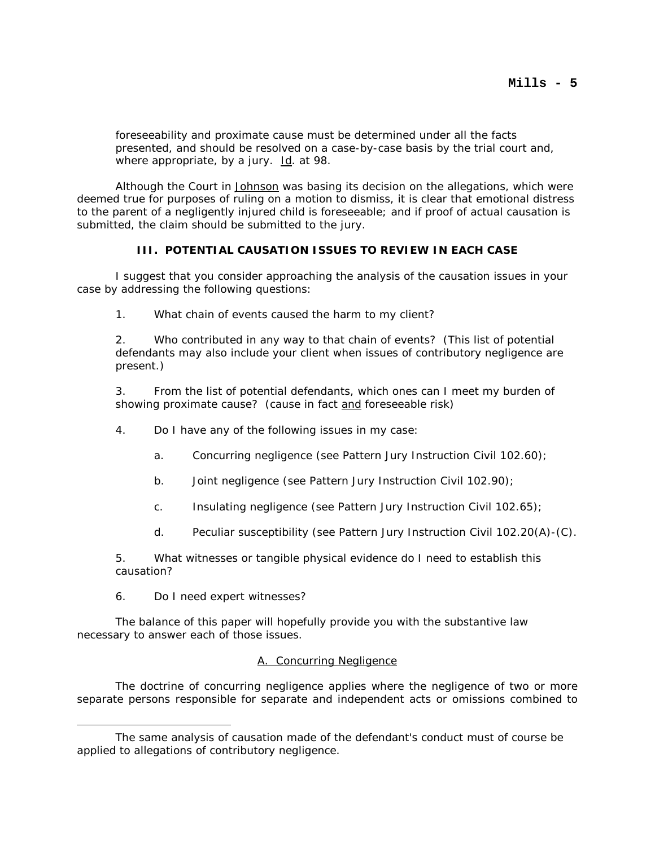foreseeability and proximate cause must be determined under all the facts presented, and should be resolved on a case-by-case basis by the trial court and, where appropriate, by a jury. Id. at 98.

Although the Court in Johnson was basing its decision on the allegations, which were deemed true for purposes of ruling on a motion to dismiss, it is clear that emotional distress to the parent of a negligently injured child is foreseeable; and if proof of actual causation is submitted, the claim should be submitted to the jury.

## **III. POTENTIAL CAUSATION ISSUES TO REVIEW IN EACH CASE**

I suggest that you consider approaching the analysis of the causation issues in your case by addressing the following questions:

1. What chain of events caused the harm to my client?

2. Who contributed in any way to that chain of events? (This list of potential defendants may also include your client when issues of contributory negligence are present.)

3. From the list of potential defendants, which ones can I meet my burden of showing proximate cause? (cause in fact and foreseeable risk)

- 4. Do I have any of the following issues in my case:
	- a. Concurring negligence (see Pattern Jury Instruction Civil 102.60);
	- b. Joint negligence (see Pattern Jury Instruction Civil 102.90);
	- c. Insulating negligence (see Pattern Jury Instruction Civil 102.65);
	- d. Peculiar susceptibility (see Pattern Jury Instruction Civil 102.20(A)-(C).

5. What witnesses or tangible physical evidence do I need to establish this causation?

6. Do I need expert witnesses?

The balance of this paper will hopefully provide you with the substantive law necessary to answer each of those issues.

#### A. Concurring Negligence

The doctrine of concurring negligence applies where the negligence of two or more separate persons responsible for separate and independent acts or omissions combined to

The same analysis of causation made of the defendant's conduct must of course be applied to allegations of contributory negligence.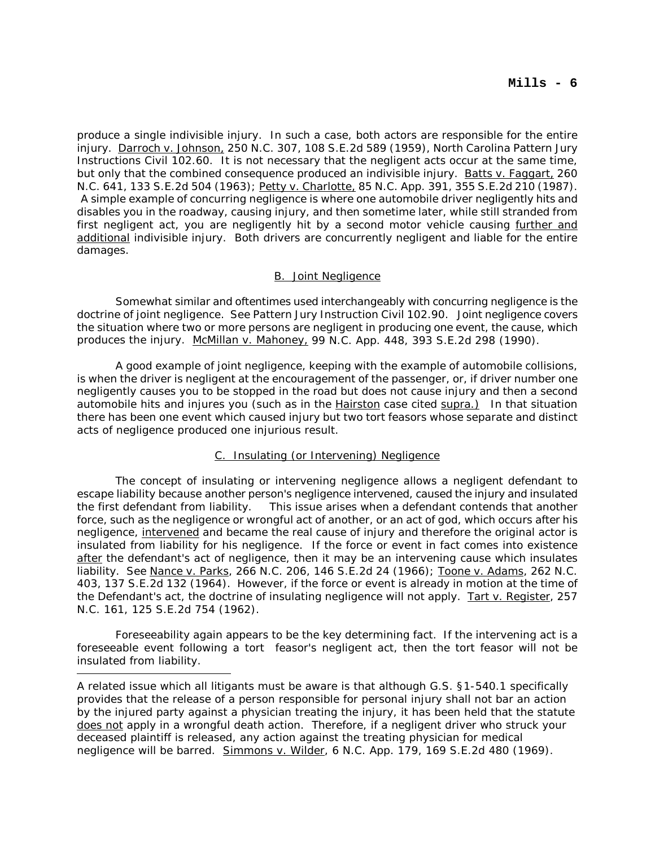produce a single indivisible injury. In such a case, both actors are responsible for the entire injury. Darroch v. Johnson, 250 N.C. 307, 108 S.E.2d 589 (1959), North Carolina Pattern Jury Instructions Civil 102.60. It is not necessary that the negligent acts occur at the same time, but only that the combined consequence produced an indivisible injury. Batts v. Faggart, 260 N.C. 641, 133 S.E.2d 504 (1963); Petty v. Charlotte, 85 N.C. App. 391, 355 S.E.2d 210 (1987). A simple example of concurring negligence is where one automobile driver negligently hits and disables you in the roadway, causing injury, and then sometime later, while still stranded from first negligent act, you are negligently hit by a second motor vehicle causing further and additional indivisible injury. Both drivers are concurrently negligent and liable for the entire damages.

# B. Joint Negligence

Somewhat similar and oftentimes used interchangeably with concurring negligence is the doctrine of joint negligence. See Pattern Jury Instruction Civil 102.90. Joint negligence covers the situation where two or more persons are negligent in producing one event, the cause, which produces the injury. McMillan v. Mahoney, 99 N.C. App. 448, 393 S.E.2d 298 (1990).

A good example of joint negligence, keeping with the example of automobile collisions, is when the driver is negligent at the encouragement of the passenger, or, if driver number one negligently causes you to be stopped in the road but does not cause injury and then a second automobile hits and injures you (such as in the Hairston case cited supra.) In that situation there has been one event which caused injury but two tort feasors whose separate and distinct acts of negligence produced one injurious result.

# C. Insulating (or Intervening) Negligence

The concept of insulating or intervening negligence allows a negligent defendant to escape liability because another person's negligence intervened, caused the injury and insulated the first defendant from liability. This issue arises when a defendant contends that another force, such as the negligence or wrongful act of another, or an act of god, which occurs after his negligence, intervened and became the real cause of injury and therefore the original actor is insulated from liability for his negligence. If the force or event in fact comes into existence after the defendant's act of negligence, then it may be an intervening cause which insulates liability. See Nance v. Parks, 266 N.C. 206, 146 S.E.2d 24 (1966); Toone v. Adams, 262 N.C. 403, 137 S.E.2d 132 (1964). However, if the force or event is already in motion at the time of the Defendant's act, the doctrine of insulating negligence will not apply. Tart v. Register, 257 N.C. 161, 125 S.E.2d 754 (1962).

Foreseeability again appears to be the key determining fact. If the intervening act is a foreseeable event following a tort feasor's negligent act, then the tort feasor will not be insulated from liability.

A related issue which all litigants must be aware is that although G.S. §1-540.1 specifically provides that the release of a person responsible for personal injury shall not bar an action by the injured party against a physician treating the injury, it has been held that the statute does not apply in a wrongful death action. Therefore, if a negligent driver who struck your deceased plaintiff is released, any action against the treating physician for medical negligence will be barred. Simmons v. Wilder, 6 N.C. App. 179, 169 S.E.2d 480 (1969).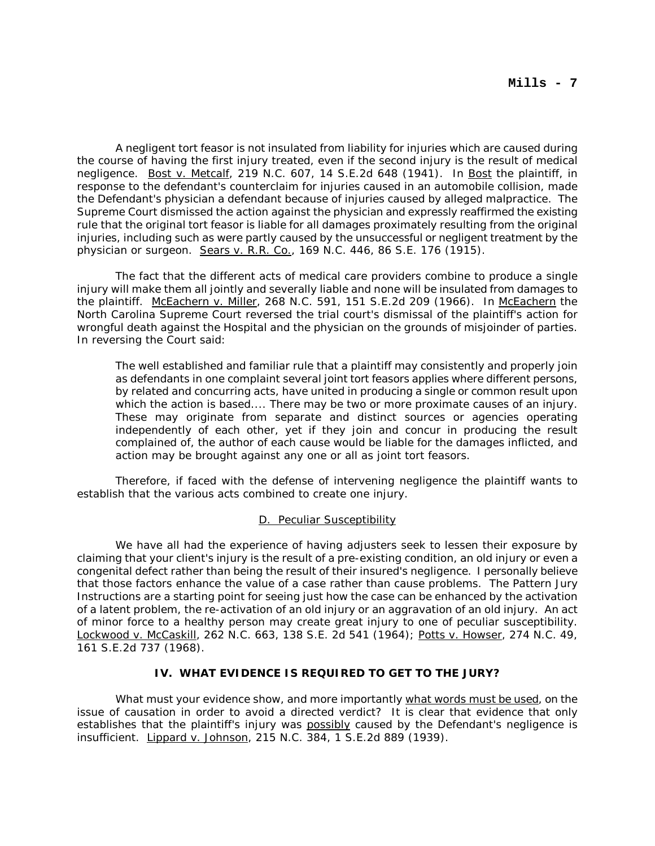A negligent tort feasor is not insulated from liability for injuries which are caused during the course of having the first injury treated, even if the second injury is the result of medical negligence. Bost v. Metcalf, 219 N.C. 607, 14 S.E.2d 648 (1941). In Bost the plaintiff, in response to the defendant's counterclaim for injuries caused in an automobile collision, made the Defendant's physician a defendant because of injuries caused by alleged malpractice. The Supreme Court dismissed the action against the physician and expressly reaffirmed the existing rule that the original tort feasor is liable for all damages proximately resulting from the original injuries, including such as were partly caused by the unsuccessful or negligent treatment by the physician or surgeon. Sears v. R.R. Co., 169 N.C. 446, 86 S.E. 176 (1915).

The fact that the different acts of medical care providers combine to produce a single injury will make them all jointly and severally liable and none will be insulated from damages to the plaintiff. McEachern v. Miller, 268 N.C. 591, 151 S.E.2d 209 (1966). In McEachern the North Carolina Supreme Court reversed the trial court's dismissal of the plaintiff's action for wrongful death against the Hospital and the physician on the grounds of misjoinder of parties. In reversing the Court said:

The well established and familiar rule that a plaintiff may consistently and properly join as defendants in one complaint several joint tort feasors applies where different persons, by related and concurring acts, have united in producing a single or common result upon which the action is based.... There may be two or more proximate causes of an injury. These may originate from separate and distinct sources or agencies operating independently of each other, yet if they join and concur in producing the result complained of, the author of each cause would be liable for the damages inflicted, and action may be brought against any one or all as joint tort feasors.

Therefore, if faced with the defense of intervening negligence the plaintiff wants to establish that the various acts combined to create one injury.

# D. Peculiar Susceptibility

We have all had the experience of having adjusters seek to lessen their exposure by claiming that your client's injury is the result of a pre-existing condition, an old injury or even a congenital defect rather than being the result of their insured's negligence. I personally believe that those factors enhance the value of a case rather than cause problems. The Pattern Jury Instructions are a starting point for seeing just how the case can be enhanced by the activation of a latent problem, the re-activation of an old injury or an aggravation of an old injury. An act of minor force to a healthy person may create great injury to one of peculiar susceptibility. Lockwood v. McCaskill, 262 N.C. 663, 138 S.E. 2d 541 (1964); Potts v. Howser, 274 N.C. 49, 161 S.E.2d 737 (1968).

# **IV. WHAT EVIDENCE IS REQUIRED TO GET TO THE JURY?**

What must your evidence show, and more importantly what words must be used, on the issue of causation in order to avoid a directed verdict? It is clear that evidence that only establishes that the plaintiff's injury was possibly caused by the Defendant's negligence is insufficient. Lippard v. Johnson, 215 N.C. 384, 1 S.E.2d 889 (1939).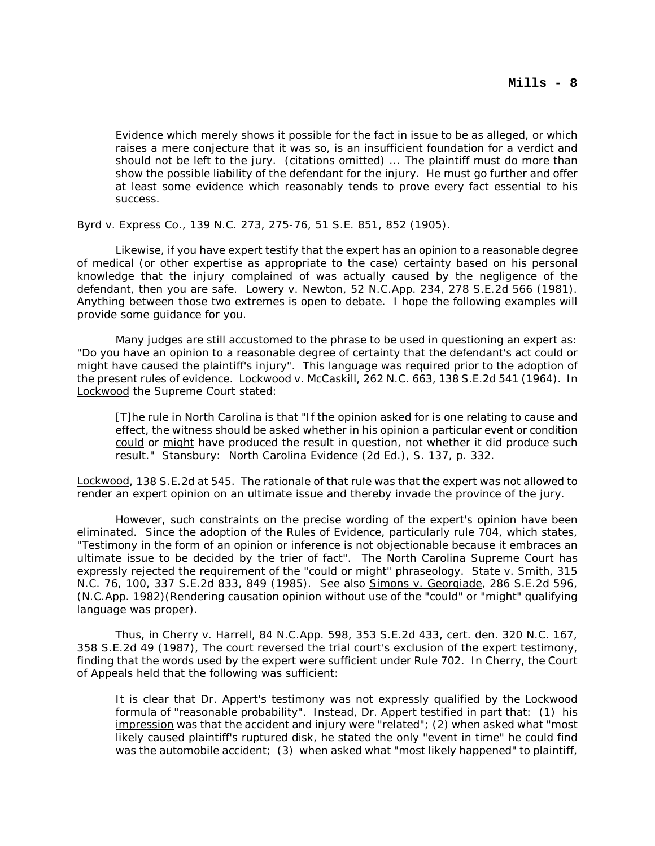Evidence which merely shows it possible for the fact in issue to be as alleged, or which raises a mere conjecture that it was so, is an insufficient foundation for a verdict and should not be left to the jury. (citations omitted) ... The plaintiff must do more than show the possible liability of the defendant for the injury. He must go further and offer at least some evidence which reasonably tends to prove every fact essential to his success.

Byrd v. Express Co., 139 N.C. 273, 275-76, 51 S.E. 851, 852 (1905).

Likewise, if you have expert testify that the expert has an opinion to a reasonable degree of medical (or other expertise as appropriate to the case) certainty based on his personal knowledge that the injury complained of was actually caused by the negligence of the defendant, then you are safe. Lowery v. Newton, 52 N.C.App. 234, 278 S.E.2d 566 (1981). Anything between those two extremes is open to debate. I hope the following examples will provide some guidance for you.

Many judges are still accustomed to the phrase to be used in questioning an expert as: "Do you have an opinion to a reasonable degree of certainty that the defendant's act could or might have caused the plaintiff's injury". This language was required prior to the adoption of the present rules of evidence. Lockwood v. McCaskill, 262 N.C. 663, 138 S.E.2d 541 (1964). In Lockwood the Supreme Court stated:

[T]he rule in North Carolina is that "If the opinion asked for is one relating to cause and effect, the witness should be asked whether in his opinion a particular event or condition could or might have produced the result in question, not whether it did produce such result." Stansbury: North Carolina Evidence (2d Ed.), S. 137, p. 332.

Lockwood, 138 S.E.2d at 545. The rationale of that rule was that the expert was not allowed to render an expert opinion on an ultimate issue and thereby invade the province of the jury.

However, such constraints on the precise wording of the expert's opinion have been eliminated. Since the adoption of the Rules of Evidence, particularly rule 704, which states, "Testimony in the form of an opinion or inference is not objectionable because it embraces an ultimate issue to be decided by the trier of fact". The North Carolina Supreme Court has expressly rejected the requirement of the "could or might" phraseology. State v. Smith, 315 N.C. 76, 100, 337 S.E.2d 833, 849 (1985). See also Simons v. Georgiade, 286 S.E.2d 596, (N.C.App. 1982)(Rendering causation opinion without use of the "could" or "might" qualifying language was proper).

Thus, in Cherry v. Harrell, 84 N.C.App. 598, 353 S.E.2d 433, cert. den. 320 N.C. 167, 358 S.E.2d 49 (1987), The court reversed the trial court's exclusion of the expert testimony, finding that the words used by the expert were sufficient under Rule 702. In Cherry, the Court of Appeals held that the following was sufficient:

It is clear that Dr. Appert's testimony was not expressly qualified by the **Lockwood** formula of "reasonable probability". Instead, Dr. Appert testified in part that: (1) his impression was that the accident and injury were "related"; (2) when asked what "most likely caused plaintiff's ruptured disk, he stated the only "event in time" he could find was the automobile accident; (3) when asked what "most likely happened" to plaintiff,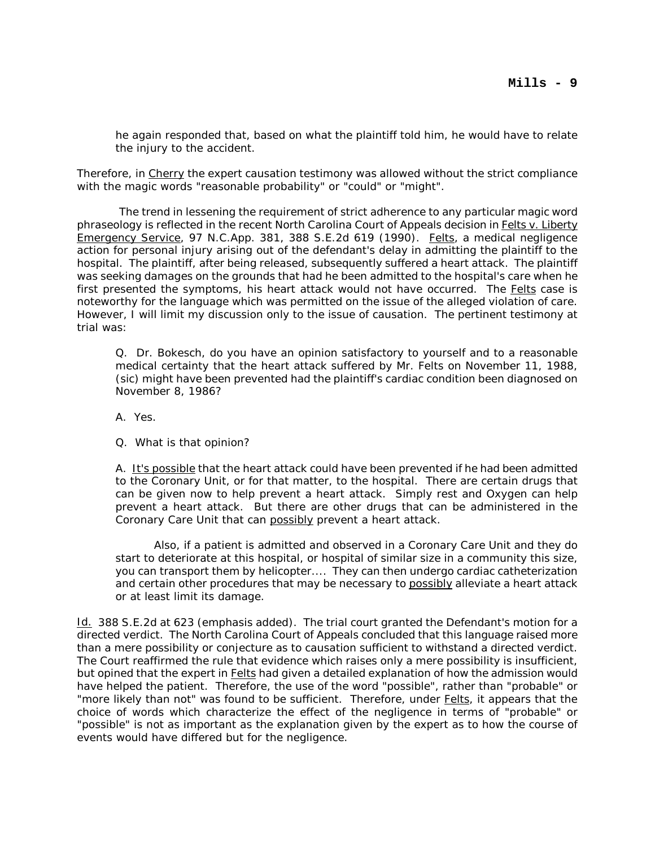he again responded that, based on what the plaintiff told him, he would have to relate the injury to the accident.

Therefore, in Cherry the expert causation testimony was allowed without the strict compliance with the magic words "reasonable probability" or "could" or "might".

 The trend in lessening the requirement of strict adherence to any particular magic word phraseology is reflected in the recent North Carolina Court of Appeals decision in Felts v. Liberty Emergency Service, 97 N.C.App. 381, 388 S.E.2d 619 (1990). Felts, a medical negligence action for personal injury arising out of the defendant's delay in admitting the plaintiff to the hospital. The plaintiff, after being released, subsequently suffered a heart attack. The plaintiff was seeking damages on the grounds that had he been admitted to the hospital's care when he first presented the symptoms, his heart attack would not have occurred. The Felts case is noteworthy for the language which was permitted on the issue of the alleged violation of care. However, I will limit my discussion only to the issue of causation. The pertinent testimony at trial was:

Q. Dr. Bokesch, do you have an opinion satisfactory to yourself and to a reasonable medical certainty that the heart attack suffered by Mr. Felts on November 11, 1988, (sic) might have been prevented had the plaintiff's cardiac condition been diagnosed on November 8, 1986?

A. Yes.

Q. What is that opinion?

A. It's possible that the heart attack could have been prevented if he had been admitted to the Coronary Unit, or for that matter, to the hospital. There are certain drugs that can be given now to help prevent a heart attack. Simply rest and Oxygen can help prevent a heart attack. But there are other drugs that can be administered in the Coronary Care Unit that can possibly prevent a heart attack.

Also, if a patient is admitted and observed in a Coronary Care Unit and they do start to deteriorate at this hospital, or hospital of similar size in a community this size, you can transport them by helicopter.... They can then undergo cardiac catheterization and certain other procedures that may be necessary to possibly alleviate a heart attack or at least limit its damage.

Id. 388 S.E.2d at 623 (emphasis added). The trial court granted the Defendant's motion for a directed verdict. The North Carolina Court of Appeals concluded that this language raised more than a mere possibility or conjecture as to causation sufficient to withstand a directed verdict. The Court reaffirmed the rule that evidence which raises only a mere possibility is insufficient, but opined that the expert in Felts had given a detailed explanation of how the admission would have helped the patient. Therefore, the use of the word "possible", rather than "probable" or "more likely than not" was found to be sufficient. Therefore, under Felts, it appears that the choice of words which characterize the effect of the negligence in terms of "probable" or "possible" is not as important as the explanation given by the expert as to how the course of events would have differed but for the negligence.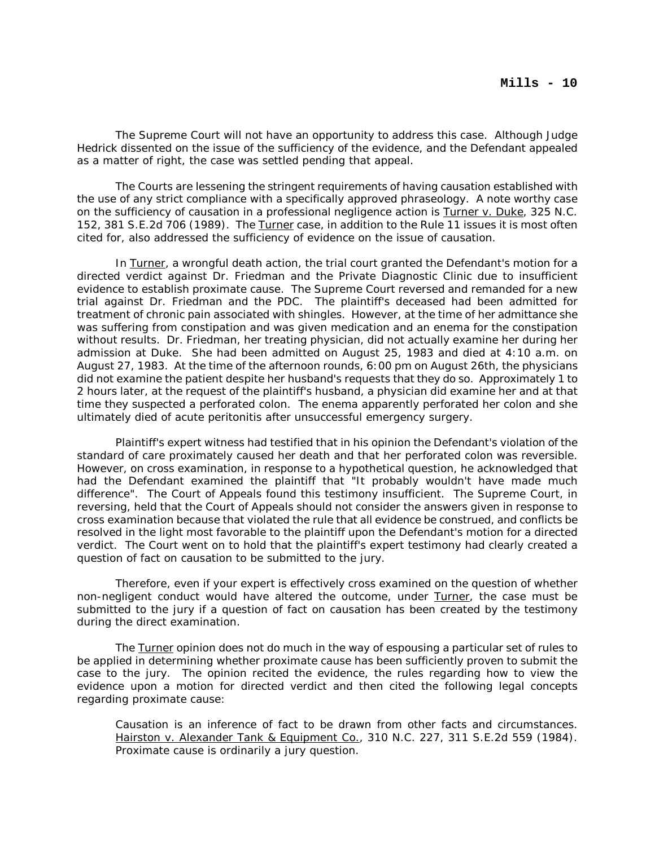The Supreme Court will not have an opportunity to address this case. Although Judge Hedrick dissented on the issue of the sufficiency of the evidence, and the Defendant appealed as a matter of right, the case was settled pending that appeal.

The Courts are lessening the stringent requirements of having causation established with the use of any strict compliance with a specifically approved phraseology. A note worthy case on the sufficiency of causation in a professional negligence action is Turner v. Duke, 325 N.C. 152, 381 S.E.2d 706 (1989). The Turner case, in addition to the Rule 11 issues it is most often cited for, also addressed the sufficiency of evidence on the issue of causation.

In Turner, a wrongful death action, the trial court granted the Defendant's motion for a directed verdict against Dr. Friedman and the Private Diagnostic Clinic due to insufficient evidence to establish proximate cause. The Supreme Court reversed and remanded for a new trial against Dr. Friedman and the PDC. The plaintiff's deceased had been admitted for treatment of chronic pain associated with shingles. However, at the time of her admittance she was suffering from constipation and was given medication and an enema for the constipation without results. Dr. Friedman, her treating physician, did not actually examine her during her admission at Duke. She had been admitted on August 25, 1983 and died at 4:10 a.m. on August 27, 1983. At the time of the afternoon rounds, 6:00 pm on August 26th, the physicians did not examine the patient despite her husband's requests that they do so. Approximately 1 to 2 hours later, at the request of the plaintiff's husband, a physician did examine her and at that time they suspected a perforated colon. The enema apparently perforated her colon and she ultimately died of acute peritonitis after unsuccessful emergency surgery.

Plaintiff's expert witness had testified that in his opinion the Defendant's violation of the standard of care proximately caused her death and that her perforated colon was reversible. However, on cross examination, in response to a hypothetical question, he acknowledged that had the Defendant examined the plaintiff that "It probably wouldn't have made much difference". The Court of Appeals found this testimony insufficient. The Supreme Court, in reversing, held that the Court of Appeals should not consider the answers given in response to cross examination because that violated the rule that all evidence be construed, and conflicts be resolved in the light most favorable to the plaintiff upon the Defendant's motion for a directed verdict. The Court went on to hold that the plaintiff's expert testimony had clearly created a question of fact on causation to be submitted to the jury.

Therefore, even if your expert is effectively cross examined on the question of whether non-negligent conduct would have altered the outcome, under Turner, the case must be submitted to the jury if a question of fact on causation has been created by the testimony during the direct examination.

The Turner opinion does not do much in the way of espousing a particular set of rules to be applied in determining whether proximate cause has been sufficiently proven to submit the case to the jury. The opinion recited the evidence, the rules regarding how to view the evidence upon a motion for directed verdict and then cited the following legal concepts regarding proximate cause:

Causation is an inference of fact to be drawn from other facts and circumstances. Hairston v. Alexander Tank & Equipment Co., 310 N.C. 227, 311 S.E.2d 559 (1984). Proximate cause is ordinarily a jury question.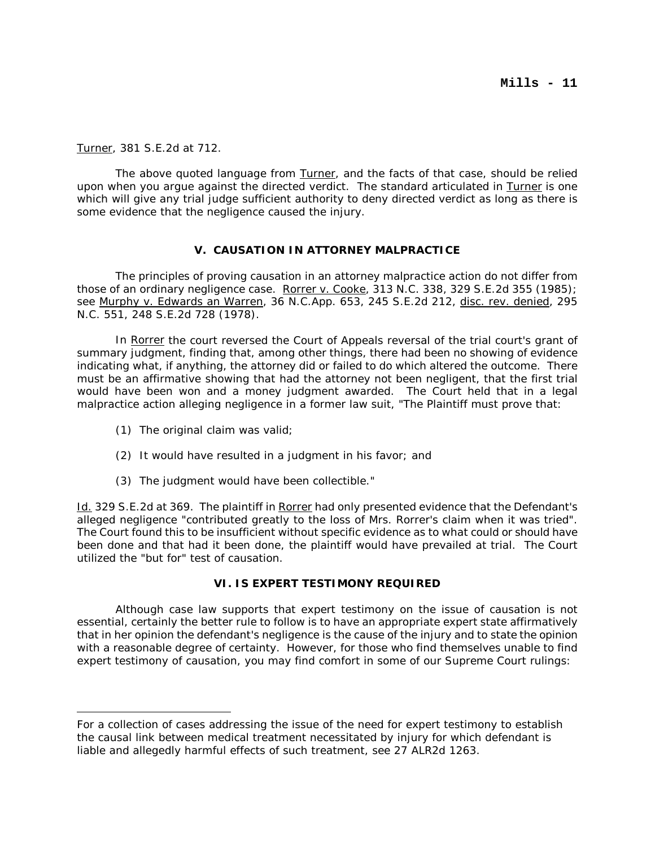Turner, 381 S.E.2d at 712.

The above quoted language from Turner, and the facts of that case, should be relied upon when you argue against the directed verdict. The standard articulated in Turner is one which will give any trial judge sufficient authority to deny directed verdict as long as there is some evidence that the negligence caused the injury.

### **V. CAUSATION IN ATTORNEY MALPRACTICE**

The principles of proving causation in an attorney malpractice action do not differ from those of an ordinary negligence case. Rorrer v. Cooke, 313 N.C. 338, 329 S.E.2d 355 (1985); see Murphy v. Edwards an Warren, 36 N.C.App. 653, 245 S.E.2d 212, disc. rev. denied, 295 N.C. 551, 248 S.E.2d 728 (1978).

In Rorrer the court reversed the Court of Appeals reversal of the trial court's grant of summary judgment, finding that, among other things, there had been no showing of evidence indicating what, if anything, the attorney did or failed to do which altered the outcome. There must be an affirmative showing that had the attorney not been negligent, that the first trial would have been won and a money judgment awarded. The Court held that in a legal malpractice action alleging negligence in a former law suit, "The Plaintiff must prove that:

- (1) The original claim was valid;
- (2) It would have resulted in a judgment in his favor; and
- (3) The judgment would have been collectible."

Id. 329 S.E.2d at 369. The plaintiff in Rorrer had only presented evidence that the Defendant's alleged negligence "contributed greatly to the loss of Mrs. Rorrer's claim when it was tried". The Court found this to be insufficient without specific evidence as to what could or should have been done and that had it been done, the plaintiff would have prevailed at trial. The Court utilized the "but for" test of causation.

#### **VI. IS EXPERT TESTIMONY REQUIRED**

Although case law supports that expert testimony on the issue of causation is not essential, certainly the better rule to follow is to have an appropriate expert state affirmatively that in her opinion the defendant's negligence is the cause of the injury and to state the opinion with a reasonable degree of certainty. However, for those who find themselves unable to find expert testimony of causation, you may find comfort in some of our Supreme Court rulings:

For a collection of cases addressing the issue of the need for expert testimony to establish the causal link between medical treatment necessitated by injury for which defendant is liable and allegedly harmful effects of such treatment, see 27 ALR2d 1263.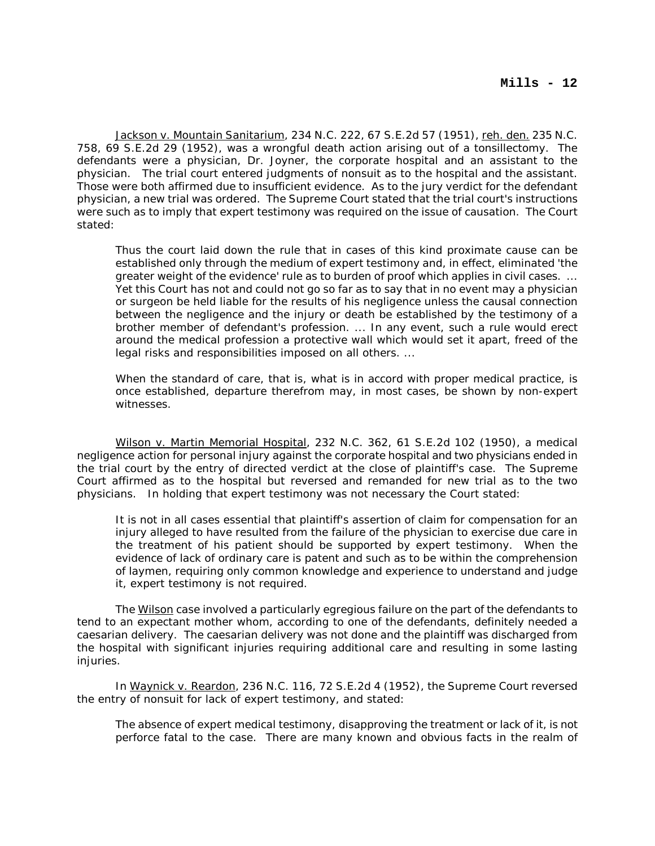Jackson v. Mountain Sanitarium, 234 N.C. 222, 67 S.E.2d 57 (1951), reh. den. 235 N.C. 758, 69 S.E.2d 29 (1952), was a wrongful death action arising out of a tonsillectomy. The defendants were a physician, Dr. Joyner, the corporate hospital and an assistant to the physician. The trial court entered judgments of nonsuit as to the hospital and the assistant. Those were both affirmed due to insufficient evidence. As to the jury verdict for the defendant physician, a new trial was ordered. The Supreme Court stated that the trial court's instructions were such as to imply that expert testimony was required on the issue of causation. The Court stated:

Thus the court laid down the rule that in cases of this kind proximate cause can be established only through the medium of expert testimony and, in effect, eliminated 'the greater weight of the evidence' rule as to burden of proof which applies in civil cases. ... Yet this Court has not and could not go so far as to say that in no event may a physician or surgeon be held liable for the results of his negligence unless the causal connection between the negligence and the injury or death be established by the testimony of a brother member of defendant's profession. ... In any event, such a rule would erect around the medical profession a protective wall which would set it apart, freed of the legal risks and responsibilities imposed on all others. ...

When the standard of care, that is, what is in accord with proper medical practice, is once established, departure therefrom may, in most cases, be shown by non-expert witnesses.

Wilson v. Martin Memorial Hospital, 232 N.C. 362, 61 S.E.2d 102 (1950), a medical negligence action for personal injury against the corporate hospital and two physicians ended in the trial court by the entry of directed verdict at the close of plaintiff's case. The Supreme Court affirmed as to the hospital but reversed and remanded for new trial as to the two physicians. In holding that expert testimony was not necessary the Court stated:

It is not in all cases essential that plaintiff's assertion of claim for compensation for an injury alleged to have resulted from the failure of the physician to exercise due care in the treatment of his patient should be supported by expert testimony. When the evidence of lack of ordinary care is patent and such as to be within the comprehension of laymen, requiring only common knowledge and experience to understand and judge it, expert testimony is not required.

The Wilson case involved a particularly egregious failure on the part of the defendants to tend to an expectant mother whom, according to one of the defendants, definitely needed a caesarian delivery. The caesarian delivery was not done and the plaintiff was discharged from the hospital with significant injuries requiring additional care and resulting in some lasting injuries.

In Waynick v. Reardon, 236 N.C. 116, 72 S.E.2d 4 (1952), the Supreme Court reversed the entry of nonsuit for lack of expert testimony, and stated:

The absence of expert medical testimony, disapproving the treatment or lack of it, is not perforce fatal to the case. There are many known and obvious facts in the realm of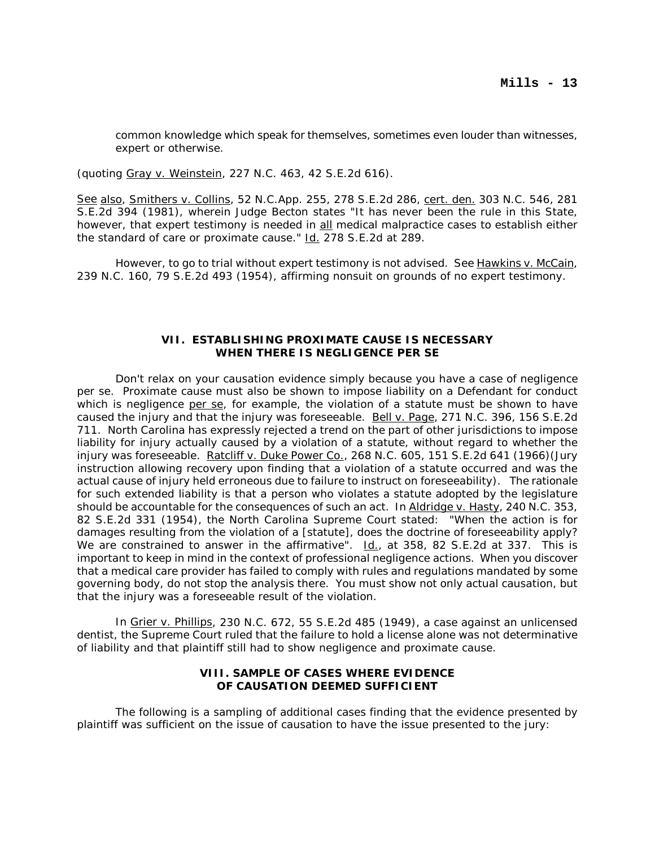common knowledge which speak for themselves, sometimes even louder than witnesses, expert or otherwise.

(quoting Gray v. Weinstein, 227 N.C. 463, 42 S.E.2d 616).

See also, Smithers v. Collins, 52 N.C.App. 255, 278 S.E.2d 286, cert. den. 303 N.C. 546, 281 S.E.2d 394 (1981), wherein Judge Becton states "It has never been the rule in this State, however, that expert testimony is needed in all medical malpractice cases to establish either the standard of care or proximate cause." Id. 278 S.E.2d at 289.

However, to go to trial without expert testimony is not advised. See Hawkins v. McCain, 239 N.C. 160, 79 S.E.2d 493 (1954), affirming nonsuit on grounds of no expert testimony.

#### **VII. ESTABLISHING PROXIMATE CAUSE IS NECESSARY WHEN THERE IS NEGLIGENCE PER SE**

Don't relax on your causation evidence simply because you have a case of negligence per se. Proximate cause must also be shown to impose liability on a Defendant for conduct which is negligence per se, for example, the violation of a statute must be shown to have caused the injury and that the injury was foreseeable. Bell v. Page, 271 N.C. 396, 156 S.E.2d 711. North Carolina has expressly rejected a trend on the part of other jurisdictions to impose liability for injury actually caused by a violation of a statute, without regard to whether the injury was foreseeable. Ratcliff v. Duke Power Co., 268 N.C. 605, 151 S.E.2d 641 (1966) (Jury instruction allowing recovery upon finding that a violation of a statute occurred and was the actual cause of injury held erroneous due to failure to instruct on foreseeability). The rationale for such extended liability is that a person who violates a statute adopted by the legislature should be accountable for the consequences of such an act. In Aldridge v. Hasty, 240 N.C. 353, 82 S.E.2d 331 (1954), the North Carolina Supreme Court stated: "When the action is for damages resulting from the violation of a [statute], does the doctrine of foreseeability apply? We are constrained to answer in the affirmative".  $\underline{Id}$ ., at 358, 82 S.E.2d at 337. This is important to keep in mind in the context of professional negligence actions. When you discover that a medical care provider has failed to comply with rules and regulations mandated by some governing body, do not stop the analysis there. You must show not only actual causation, but that the injury was a foreseeable result of the violation.

In Grier v. Phillips, 230 N.C. 672, 55 S.E.2d 485 (1949), a case against an unlicensed dentist, the Supreme Court ruled that the failure to hold a license alone was not determinative of liability and that plaintiff still had to show negligence and proximate cause.

# **VIII. SAMPLE OF CASES WHERE EVIDENCE OF CAUSATION DEEMED SUFFICIENT**

The following is a sampling of additional cases finding that the evidence presented by plaintiff was sufficient on the issue of causation to have the issue presented to the jury: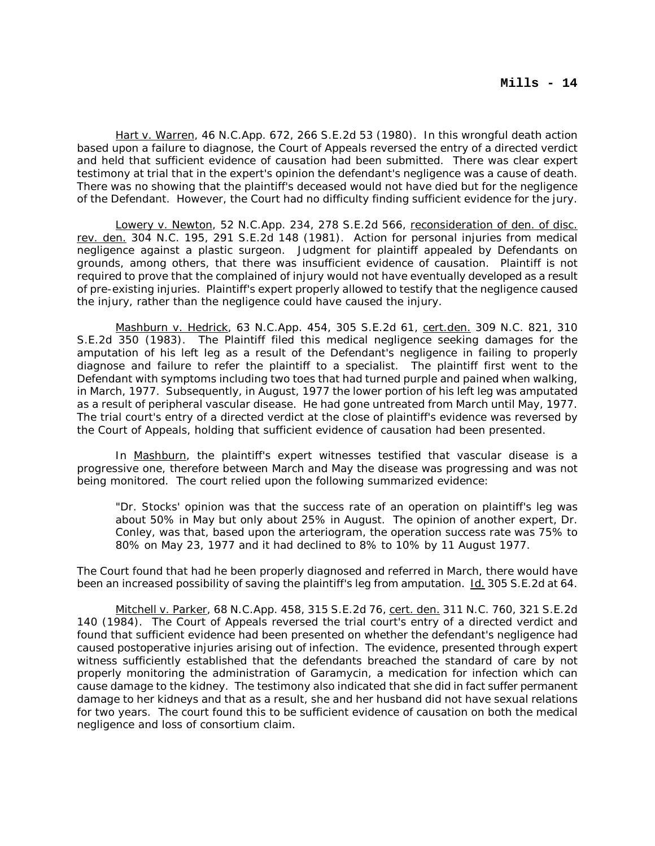Hart v. Warren, 46 N.C.App. 672, 266 S.E.2d 53 (1980). In this wrongful death action based upon a failure to diagnose, the Court of Appeals reversed the entry of a directed verdict and held that sufficient evidence of causation had been submitted. There was clear expert testimony at trial that in the expert's opinion the defendant's negligence was a cause of death. There was no showing that the plaintiff's deceased would not have died but for the negligence of the Defendant. However, the Court had no difficulty finding sufficient evidence for the jury.

Lowery v. Newton, 52 N.C.App. 234, 278 S.E.2d 566, reconsideration of den. of disc. rev. den. 304 N.C. 195, 291 S.E.2d 148 (1981). Action for personal injuries from medical negligence against a plastic surgeon. Judgment for plaintiff appealed by Defendants on grounds, among others, that there was insufficient evidence of causation. Plaintiff is not required to prove that the complained of injury would not have eventually developed as a result of pre-existing injuries. Plaintiff's expert properly allowed to testify that the negligence caused the injury, rather than the negligence could have caused the injury.

Mashburn v. Hedrick, 63 N.C.App. 454, 305 S.E.2d 61, cert.den. 309 N.C. 821, 310 S.E.2d 350 (1983). The Plaintiff filed this medical negligence seeking damages for the amputation of his left leg as a result of the Defendant's negligence in failing to properly diagnose and failure to refer the plaintiff to a specialist. The plaintiff first went to the Defendant with symptoms including two toes that had turned purple and pained when walking, in March, 1977. Subsequently, in August, 1977 the lower portion of his left leg was amputated as a result of peripheral vascular disease. He had gone untreated from March until May, 1977. The trial court's entry of a directed verdict at the close of plaintiff's evidence was reversed by the Court of Appeals, holding that sufficient evidence of causation had been presented.

In Mashburn, the plaintiff's expert witnesses testified that vascular disease is a progressive one, therefore between March and May the disease was progressing and was not being monitored. The court relied upon the following summarized evidence:

"Dr. Stocks' opinion was that the success rate of an operation on plaintiff's leg was about 50% in May but only about 25% in August. The opinion of another expert, Dr. Conley, was that, based upon the arteriogram, the operation success rate was 75% to 80% on May 23, 1977 and it had declined to 8% to 10% by 11 August 1977.

The Court found that had he been properly diagnosed and referred in March, there would have been an increased possibility of saving the plaintiff's leg from amputation. Id. 305 S.E.2d at 64.

Mitchell v. Parker, 68 N.C.App. 458, 315 S.E.2d 76, cert. den. 311 N.C. 760, 321 S.E.2d 140 (1984). The Court of Appeals reversed the trial court's entry of a directed verdict and found that sufficient evidence had been presented on whether the defendant's negligence had caused postoperative injuries arising out of infection. The evidence, presented through expert witness sufficiently established that the defendants breached the standard of care by not properly monitoring the administration of Garamycin, a medication for infection which can cause damage to the kidney. The testimony also indicated that she did in fact suffer permanent damage to her kidneys and that as a result, she and her husband did not have sexual relations for two years. The court found this to be sufficient evidence of causation on both the medical negligence and loss of consortium claim.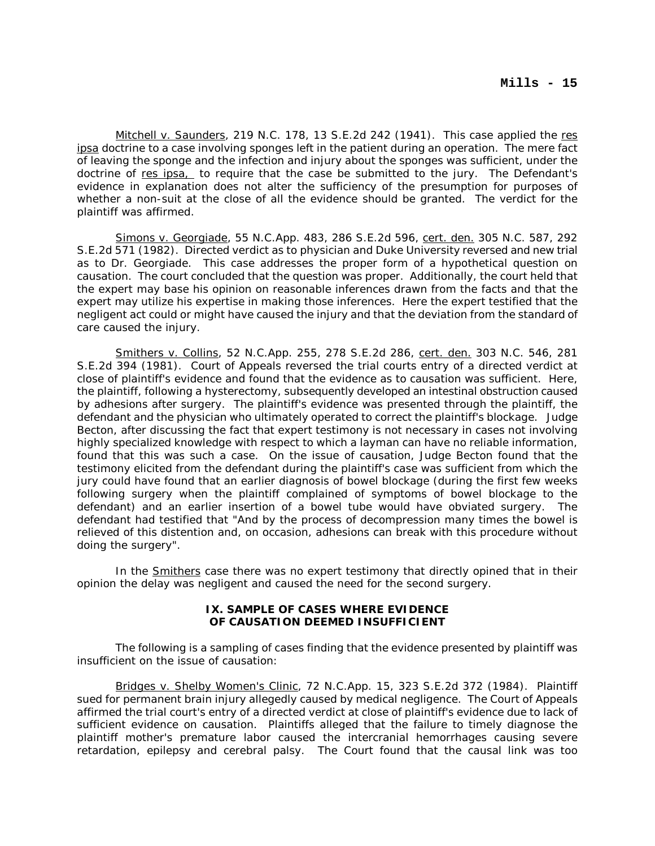Mitchell v. Saunders, 219 N.C. 178, 13 S.E.2d 242 (1941). This case applied the res ipsa doctrine to a case involving sponges left in the patient during an operation. The mere fact of leaving the sponge and the infection and injury about the sponges was sufficient, under the doctrine of res ipsa, to require that the case be submitted to the jury. The Defendant's evidence in explanation does not alter the sufficiency of the presumption for purposes of whether a non-suit at the close of all the evidence should be granted. The verdict for the plaintiff was affirmed.

Simons v. Georgiade, 55 N.C.App. 483, 286 S.E.2d 596, cert. den. 305 N.C. 587, 292 S.E.2d 571 (1982). Directed verdict as to physician and Duke University reversed and new trial as to Dr. Georgiade. This case addresses the proper form of a hypothetical question on causation. The court concluded that the question was proper. Additionally, the court held that the expert may base his opinion on reasonable inferences drawn from the facts and that the expert may utilize his expertise in making those inferences. Here the expert testified that the negligent act could or might have caused the injury and that the deviation from the standard of care caused the injury.

Smithers v. Collins, 52 N.C.App. 255, 278 S.E.2d 286, cert. den. 303 N.C. 546, 281 S.E.2d 394 (1981). Court of Appeals reversed the trial courts entry of a directed verdict at close of plaintiff's evidence and found that the evidence as to causation was sufficient. Here, the plaintiff, following a hysterectomy, subsequently developed an intestinal obstruction caused by adhesions after surgery. The plaintiff's evidence was presented through the plaintiff, the defendant and the physician who ultimately operated to correct the plaintiff's blockage. Judge Becton, after discussing the fact that expert testimony is not necessary in cases not involving highly specialized knowledge with respect to which a layman can have no reliable information, found that this was such a case. On the issue of causation, Judge Becton found that the testimony elicited from the defendant during the plaintiff's case was sufficient from which the jury could have found that an earlier diagnosis of bowel blockage (during the first few weeks following surgery when the plaintiff complained of symptoms of bowel blockage to the defendant) and an earlier insertion of a bowel tube would have obviated surgery. The defendant had testified that "And by the process of decompression many times the bowel is relieved of this distention and, on occasion, adhesions can break with this procedure without doing the surgery".

In the Smithers case there was no expert testimony that directly opined that in their opinion the delay was negligent and caused the need for the second surgery.

### **IX. SAMPLE OF CASES WHERE EVIDENCE OF CAUSATION DEEMED INSUFFICIENT**

The following is a sampling of cases finding that the evidence presented by plaintiff was insufficient on the issue of causation:

Bridges v. Shelby Women's Clinic, 72 N.C.App. 15, 323 S.E.2d 372 (1984). Plaintiff sued for permanent brain injury allegedly caused by medical negligence. The Court of Appeals affirmed the trial court's entry of a directed verdict at close of plaintiff's evidence due to lack of sufficient evidence on causation. Plaintiffs alleged that the failure to timely diagnose the plaintiff mother's premature labor caused the intercranial hemorrhages causing severe retardation, epilepsy and cerebral palsy. The Court found that the causal link was too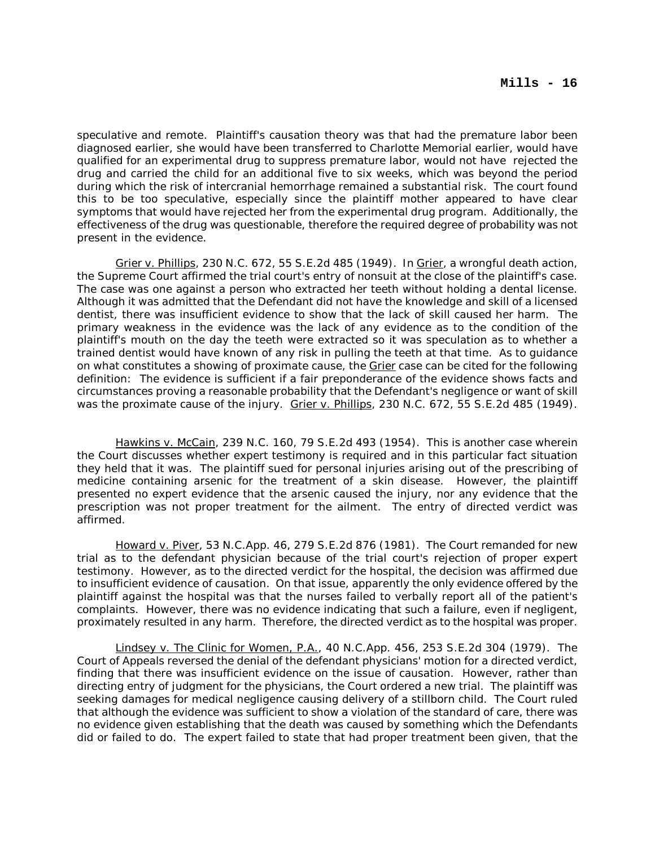speculative and remote. Plaintiff's causation theory was that had the premature labor been diagnosed earlier, she would have been transferred to Charlotte Memorial earlier, would have qualified for an experimental drug to suppress premature labor, would not have rejected the drug and carried the child for an additional five to six weeks, which was beyond the period during which the risk of intercranial hemorrhage remained a substantial risk. The court found this to be too speculative, especially since the plaintiff mother appeared to have clear symptoms that would have rejected her from the experimental drug program. Additionally, the effectiveness of the drug was questionable, therefore the required degree of probability was not present in the evidence.

Grier v. Phillips, 230 N.C. 672, 55 S.E.2d 485 (1949). In Grier, a wrongful death action, the Supreme Court affirmed the trial court's entry of nonsuit at the close of the plaintiff's case. The case was one against a person who extracted her teeth without holding a dental license. Although it was admitted that the Defendant did not have the knowledge and skill of a licensed dentist, there was insufficient evidence to show that the lack of skill caused her harm. The primary weakness in the evidence was the lack of any evidence as to the condition of the plaintiff's mouth on the day the teeth were extracted so it was speculation as to whether a trained dentist would have known of any risk in pulling the teeth at that time. As to guidance on what constitutes a showing of proximate cause, the Grier case can be cited for the following definition: The evidence is sufficient if a fair preponderance of the evidence shows facts and circumstances proving a reasonable probability that the Defendant's negligence or want of skill was the proximate cause of the injury. Grier v. Phillips, 230 N.C. 672, 55 S.E.2d 485 (1949).

Hawkins v. McCain, 239 N.C. 160, 79 S.E.2d 493 (1954). This is another case wherein the Court discusses whether expert testimony is required and in this particular fact situation they held that it was. The plaintiff sued for personal injuries arising out of the prescribing of medicine containing arsenic for the treatment of a skin disease. However, the plaintiff presented no expert evidence that the arsenic caused the injury, nor any evidence that the prescription was not proper treatment for the ailment. The entry of directed verdict was affirmed.

Howard v. Piver, 53 N.C.App. 46, 279 S.E.2d 876 (1981). The Court remanded for new trial as to the defendant physician because of the trial court's rejection of proper expert testimony. However, as to the directed verdict for the hospital, the decision was affirmed due to insufficient evidence of causation. On that issue, apparently the only evidence offered by the plaintiff against the hospital was that the nurses failed to verbally report all of the patient's complaints. However, there was no evidence indicating that such a failure, even if negligent, proximately resulted in any harm. Therefore, the directed verdict as to the hospital was proper.

Lindsey v. The Clinic for Women, P.A., 40 N.C.App. 456, 253 S.E.2d 304 (1979). The Court of Appeals reversed the denial of the defendant physicians' motion for a directed verdict, finding that there was insufficient evidence on the issue of causation. However, rather than directing entry of judgment for the physicians, the Court ordered a new trial. The plaintiff was seeking damages for medical negligence causing delivery of a stillborn child. The Court ruled that although the evidence was sufficient to show a violation of the standard of care, there was no evidence given establishing that the death was caused by something which the Defendants did or failed to do. The expert failed to state that had proper treatment been given, that the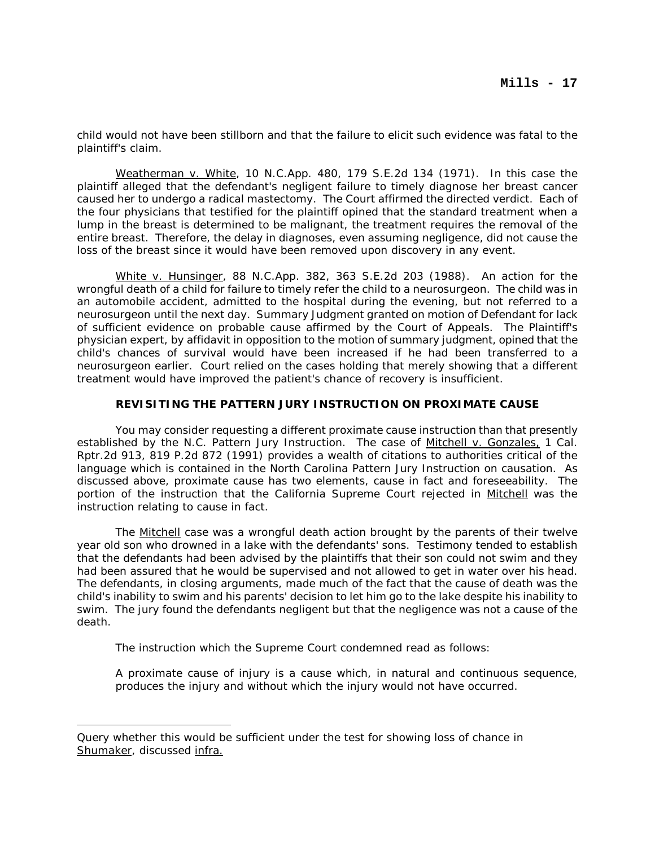child would not have been stillborn and that the failure to elicit such evidence was fatal to the plaintiff's claim.

Weatherman v. White, 10 N.C.App. 480, 179 S.E.2d 134 (1971). In this case the plaintiff alleged that the defendant's negligent failure to timely diagnose her breast cancer caused her to undergo a radical mastectomy. The Court affirmed the directed verdict. Each of the four physicians that testified for the plaintiff opined that the standard treatment when a lump in the breast is determined to be malignant, the treatment requires the removal of the entire breast. Therefore, the delay in diagnoses, even assuming negligence, did not cause the loss of the breast since it would have been removed upon discovery in any event.

White v. Hunsinger, 88 N.C.App. 382, 363 S.E.2d 203 (1988). An action for the wrongful death of a child for failure to timely refer the child to a neurosurgeon. The child was in an automobile accident, admitted to the hospital during the evening, but not referred to a neurosurgeon until the next day. Summary Judgment granted on motion of Defendant for lack of sufficient evidence on probable cause affirmed by the Court of Appeals. The Plaintiff's physician expert, by affidavit in opposition to the motion of summary judgment, opined that the child's chances of survival would have been increased if he had been transferred to a neurosurgeon earlier. Court relied on the cases holding that merely showing that a different treatment would have improved the patient's chance of recovery is insufficient.

### **REVISITING THE PATTERN JURY INSTRUCTION ON PROXIMATE CAUSE**

You may consider requesting a different proximate cause instruction than that presently established by the N.C. Pattern Jury Instruction. The case of Mitchell v. Gonzales, 1 Cal. Rptr.2d 913, 819 P.2d 872 (1991) provides a wealth of citations to authorities critical of the language which is contained in the North Carolina Pattern Jury Instruction on causation. As discussed above, proximate cause has two elements, cause in fact and foreseeability. The portion of the instruction that the California Supreme Court rejected in Mitchell was the instruction relating to cause in fact.

The Mitchell case was a wrongful death action brought by the parents of their twelve year old son who drowned in a lake with the defendants' sons. Testimony tended to establish that the defendants had been advised by the plaintiffs that their son could not swim and they had been assured that he would be supervised and not allowed to get in water over his head. The defendants, in closing arguments, made much of the fact that the cause of death was the child's inability to swim and his parents' decision to let him go to the lake despite his inability to swim. The jury found the defendants negligent but that the negligence was not a cause of the death.

The instruction which the Supreme Court condemned read as follows:

A proximate cause of injury is a cause which, in natural and continuous sequence, produces the injury and without which the injury would not have occurred.

Query whether this would be sufficient under the test for showing loss of chance in Shumaker, discussed infra.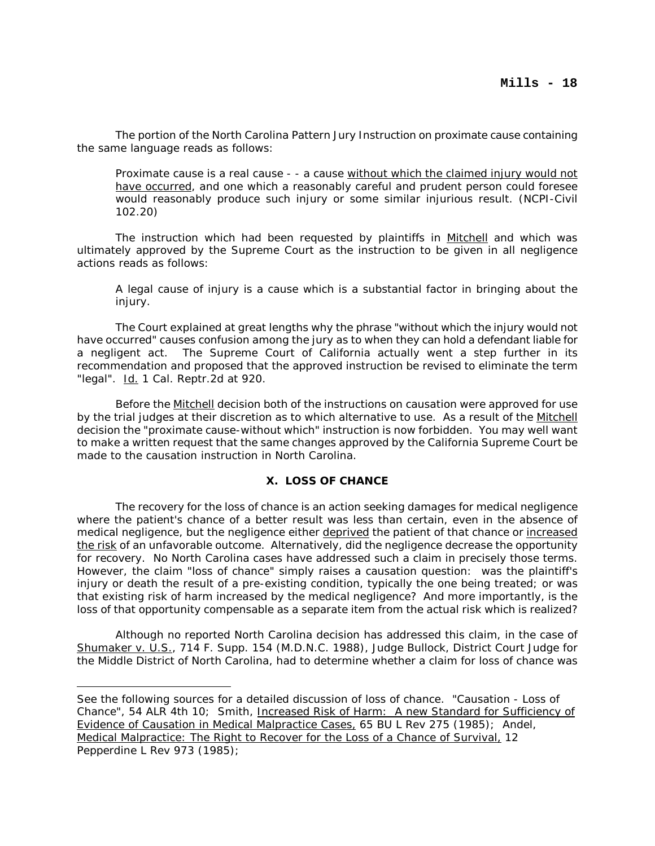The portion of the North Carolina Pattern Jury Instruction on proximate cause containing the same language reads as follows:

Proximate cause is a real cause - - a cause without which the claimed injury would not have occurred, and one which a reasonably careful and prudent person could foresee would reasonably produce such injury or some similar injurious result. (NCPI-Civil 102.20)

The instruction which had been requested by plaintiffs in Mitchell and which was ultimately approved by the Supreme Court as the instruction to be given in all negligence actions reads as follows:

A legal cause of injury is a cause which is a substantial factor in bringing about the injury.

The Court explained at great lengths why the phrase "without which the injury would not have occurred" causes confusion among the jury as to when they can hold a defendant liable for a negligent act. The Supreme Court of California actually went a step further in its recommendation and proposed that the approved instruction be revised to eliminate the term "legal". Id. 1 Cal. Reptr.2d at 920.

Before the **Mitchell** decision both of the instructions on causation were approved for use by the trial judges at their discretion as to which alternative to use. As a result of the Mitchell decision the "proximate cause-without which" instruction is now forbidden. You may well want to make a written request that the same changes approved by the California Supreme Court be made to the causation instruction in North Carolina.

#### **X. LOSS OF CHANCE**

The recovery for the loss of chance is an action seeking damages for medical negligence where the patient's chance of a better result was less than certain, even in the absence of medical negligence, but the negligence either deprived the patient of that chance or increased the risk of an unfavorable outcome. Alternatively, did the negligence decrease the opportunity for recovery. No North Carolina cases have addressed such a claim in precisely those terms. However, the claim "loss of chance" simply raises a causation question: was the plaintiff's injury or death the result of a pre-existing condition, typically the one being treated; or was that existing risk of harm increased by the medical negligence? And more importantly, is the loss of that opportunity compensable as a separate item from the actual risk which is realized?

Although no reported North Carolina decision has addressed this claim, in the case of Shumaker v. U.S., 714 F. Supp. 154 (M.D.N.C. 1988), Judge Bullock, District Court Judge for the Middle District of North Carolina, had to determine whether a claim for loss of chance was

See the following sources for a detailed discussion of loss of chance. "Causation - Loss of Chance", 54 ALR 4th 10; Smith, Increased Risk of Harm: A new Standard for Sufficiency of Evidence of Causation in Medical Malpractice Cases, 65 BU L Rev 275 (1985); Andel, Medical Malpractice: The Right to Recover for the Loss of a Chance of Survival, 12 Pepperdine L Rev 973 (1985);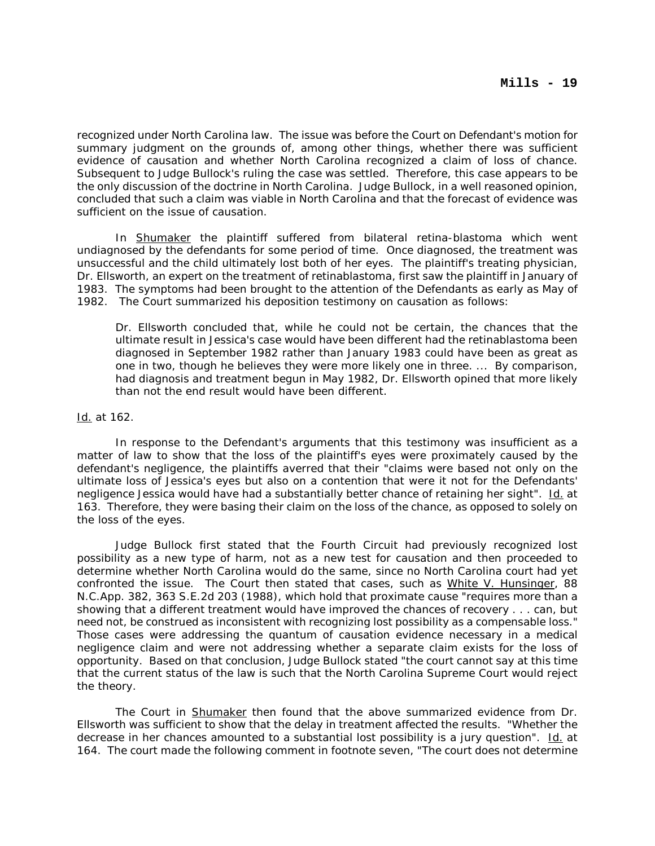recognized under North Carolina law. The issue was before the Court on Defendant's motion for summary judgment on the grounds of, among other things, whether there was sufficient evidence of causation and whether North Carolina recognized a claim of loss of chance. Subsequent to Judge Bullock's ruling the case was settled. Therefore, this case appears to be the only discussion of the doctrine in North Carolina. Judge Bullock, in a well reasoned opinion, concluded that such a claim was viable in North Carolina and that the forecast of evidence was sufficient on the issue of causation.

In Shumaker the plaintiff suffered from bilateral retina-blastoma which went undiagnosed by the defendants for some period of time. Once diagnosed, the treatment was unsuccessful and the child ultimately lost both of her eyes. The plaintiff's treating physician, Dr. Ellsworth, an expert on the treatment of retinablastoma, first saw the plaintiff in January of 1983. The symptoms had been brought to the attention of the Defendants as early as May of 1982. The Court summarized his deposition testimony on causation as follows:

Dr. Ellsworth concluded that, while he could not be certain, the chances that the ultimate result in Jessica's case would have been different had the retinablastoma been diagnosed in September 1982 rather than January 1983 could have been as great as one in two, though he believes they were more likely one in three. ... By comparison, had diagnosis and treatment begun in May 1982, Dr. Ellsworth opined that more likely than not the end result would have been different.

### Id. at 162.

In response to the Defendant's arguments that this testimony was insufficient as a matter of law to show that the loss of the plaintiff's eyes were proximately caused by the defendant's negligence, the plaintiffs averred that their "claims were based not only on the ultimate loss of Jessica's eyes but also on a contention that were it not for the Defendants' negligence Jessica would have had a substantially better chance of retaining her sight". Id. at 163. Therefore, they were basing their claim on the loss of the chance, as opposed to solely on the loss of the eyes.

Judge Bullock first stated that the Fourth Circuit had previously recognized lost possibility as a new type of harm, not as a new test for causation and then proceeded to determine whether North Carolina would do the same, since no North Carolina court had yet confronted the issue. The Court then stated that cases, such as White V. Hunsinger, 88 N.C.App. 382, 363 S.E.2d 203 (1988), which hold that proximate cause "requires more than a showing that a different treatment would have improved the chances of recovery . . . can, but need not, be construed as inconsistent with recognizing lost possibility as a compensable loss." Those cases were addressing the quantum of causation evidence necessary in a medical negligence claim and were not addressing whether a separate claim exists for the loss of opportunity. Based on that conclusion, Judge Bullock stated "the court cannot say at this time that the current status of the law is such that the North Carolina Supreme Court would reject the theory.

The Court in Shumaker then found that the above summarized evidence from Dr. Ellsworth was sufficient to show that the delay in treatment affected the results. "Whether the decrease in her chances amounted to a substantial lost possibility is a jury question". Id. at 164. The court made the following comment in footnote seven, "The court does not determine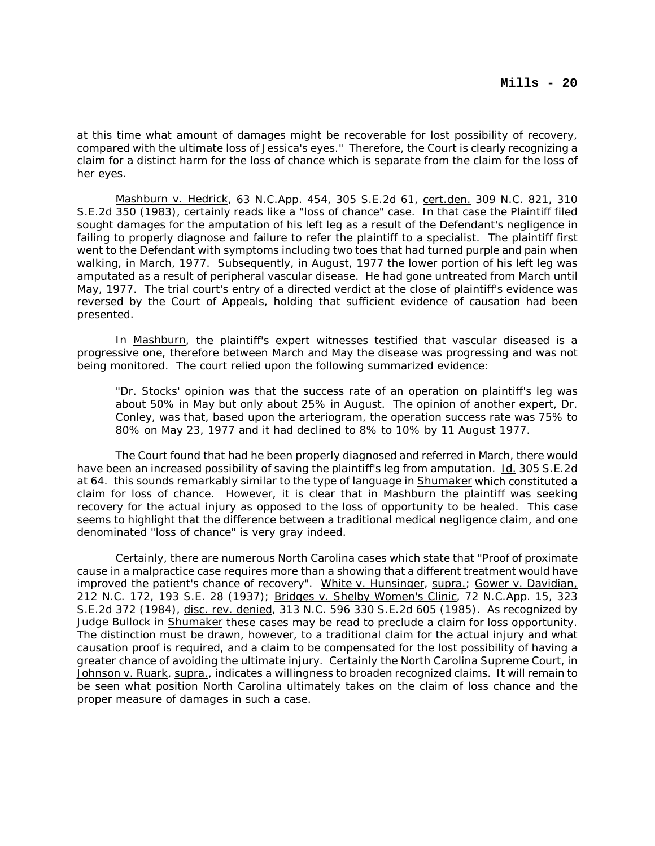at this time what amount of damages might be recoverable for lost possibility of recovery, compared with the ultimate loss of Jessica's eyes." Therefore, the Court is clearly recognizing a claim for a distinct harm for the loss of chance which is separate from the claim for the loss of her eyes.

Mashburn v. Hedrick, 63 N.C.App. 454, 305 S.E.2d 61, cert.den. 309 N.C. 821, 310 S.E.2d 350 (1983), certainly reads like a "loss of chance" case. In that case the Plaintiff filed sought damages for the amputation of his left leg as a result of the Defendant's negligence in failing to properly diagnose and failure to refer the plaintiff to a specialist. The plaintiff first went to the Defendant with symptoms including two toes that had turned purple and pain when walking, in March, 1977. Subsequently, in August, 1977 the lower portion of his left leg was amputated as a result of peripheral vascular disease. He had gone untreated from March until May, 1977. The trial court's entry of a directed verdict at the close of plaintiff's evidence was reversed by the Court of Appeals, holding that sufficient evidence of causation had been presented.

In Mashburn, the plaintiff's expert witnesses testified that vascular diseased is a progressive one, therefore between March and May the disease was progressing and was not being monitored. The court relied upon the following summarized evidence:

"Dr. Stocks' opinion was that the success rate of an operation on plaintiff's leg was about 50% in May but only about 25% in August. The opinion of another expert, Dr. Conley, was that, based upon the arteriogram, the operation success rate was 75% to 80% on May 23, 1977 and it had declined to 8% to 10% by 11 August 1977.

The Court found that had he been properly diagnosed and referred in March, there would have been an increased possibility of saving the plaintiff's leg from amputation. Id. 305 S.E.2d at 64. this sounds remarkably similar to the type of language in Shumaker which constituted a claim for loss of chance. However, it is clear that in Mashburn the plaintiff was seeking recovery for the actual injury as opposed to the loss of opportunity to be healed. This case seems to highlight that the difference between a traditional medical negligence claim, and one denominated "loss of chance" is very gray indeed.

Certainly, there are numerous North Carolina cases which state that "Proof of proximate cause in a malpractice case requires more than a showing that a different treatment would have improved the patient's chance of recovery". White v. Hunsinger, supra.; Gower v. Davidian, 212 N.C. 172, 193 S.E. 28 (1937); Bridges v. Shelby Women's Clinic, 72 N.C.App. 15, 323 S.E.2d 372 (1984), disc. rev. denied, 313 N.C. 596 330 S.E.2d 605 (1985). As recognized by Judge Bullock in Shumaker these cases may be read to preclude a claim for loss opportunity. The distinction must be drawn, however, to a traditional claim for the actual injury and what causation proof is required, and a claim to be compensated for the lost possibility of having a greater chance of avoiding the ultimate injury. Certainly the North Carolina Supreme Court, in Johnson v. Ruark, supra., indicates a willingness to broaden recognized claims. It will remain to be seen what position North Carolina ultimately takes on the claim of loss chance and the proper measure of damages in such a case.